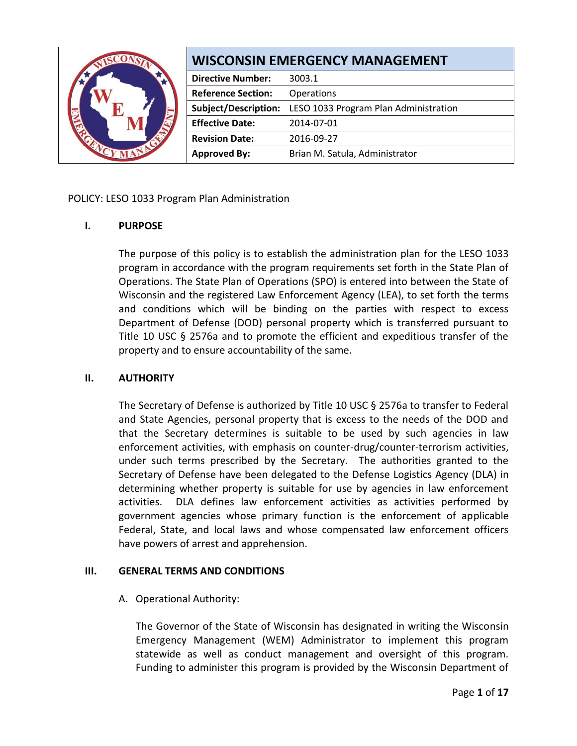|  | <b>WISCONSIN EMERGENCY MANAGEMENT</b> |                                       |
|--|---------------------------------------|---------------------------------------|
|  | <b>Directive Number:</b>              | 3003.1                                |
|  | <b>Reference Section:</b>             | Operations                            |
|  | <b>Subject/Description:</b>           | LESO 1033 Program Plan Administration |
|  | <b>Effective Date:</b>                | 2014-07-01                            |
|  | <b>Revision Date:</b>                 | 2016-09-27                            |
|  | <b>Approved By:</b>                   | Brian M. Satula, Administrator        |

POLICY: LESO 1033 Program Plan Administration

# **I. PURPOSE**

The purpose of this policy is to establish the administration plan for the LESO 1033 program in accordance with the program requirements set forth in the State Plan of Operations. The State Plan of Operations (SPO) is entered into between the State of Wisconsin and the registered Law Enforcement Agency (LEA), to set forth the terms and conditions which will be binding on the parties with respect to excess Department of Defense (DOD) personal property which is transferred pursuant to Title 10 USC § 2576a and to promote the efficient and expeditious transfer of the property and to ensure accountability of the same.

## **II. AUTHORITY**

The Secretary of Defense is authorized by Title 10 USC § 2576a to transfer to Federal and State Agencies, personal property that is excess to the needs of the DOD and that the Secretary determines is suitable to be used by such agencies in law enforcement activities, with emphasis on counter-drug/counter-terrorism activities, under such terms prescribed by the Secretary. The authorities granted to the Secretary of Defense have been delegated to the Defense Logistics Agency (DLA) in determining whether property is suitable for use by agencies in law enforcement activities. DLA defines law enforcement activities as activities performed by government agencies whose primary function is the enforcement of applicable Federal, State, and local laws and whose compensated law enforcement officers have powers of arrest and apprehension.

# **III. GENERAL TERMS AND CONDITIONS**

A. Operational Authority:

The Governor of the State of Wisconsin has designated in writing the Wisconsin Emergency Management (WEM) Administrator to implement this program statewide as well as conduct management and oversight of this program. Funding to administer this program is provided by the Wisconsin Department of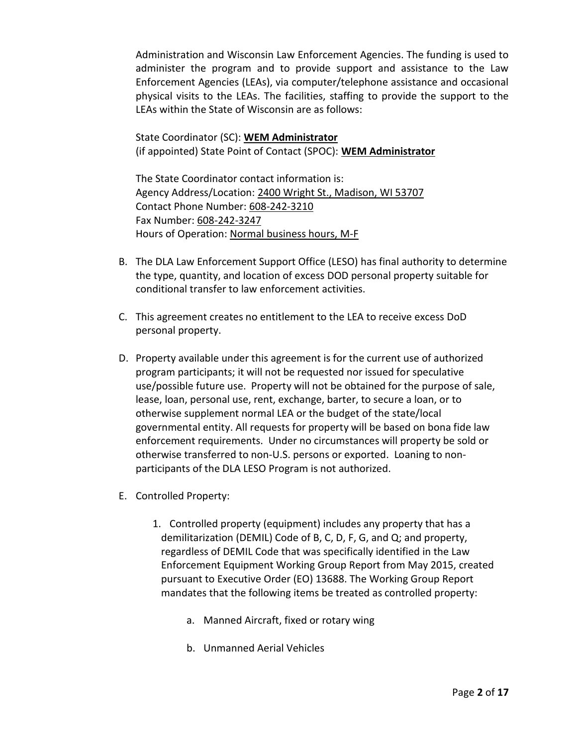Administration and Wisconsin Law Enforcement Agencies. The funding is used to administer the program and to provide support and assistance to the Law Enforcement Agencies (LEAs), via computer/telephone assistance and occasional physical visits to the LEAs. The facilities, staffing to provide the support to the LEAs within the State of Wisconsin are as follows:

State Coordinator (SC): **WEM Administrator** (if appointed) State Point of Contact (SPOC): **WEM Administrator**

The State Coordinator contact information is: Agency Address/Location: 2400 Wright St., Madison, WI 53707 Contact Phone Number: 608-242-3210 Fax Number: 608-242-3247 Hours of Operation: Normal business hours, M-F

- B. The DLA Law Enforcement Support Office (LESO) has final authority to determine the type, quantity, and location of excess DOD personal property suitable for conditional transfer to law enforcement activities.
- C. This agreement creates no entitlement to the LEA to receive excess DoD personal property.
- D. Property available under this agreement is for the current use of authorized program participants; it will not be requested nor issued for speculative use/possible future use. Property will not be obtained for the purpose of sale, lease, loan, personal use, rent, exchange, barter, to secure a loan, or to otherwise supplement normal LEA or the budget of the state/local governmental entity. All requests for property will be based on bona fide law enforcement requirements. Under no circumstances will property be sold or otherwise transferred to non-U.S. persons or exported. Loaning to nonparticipants of the DLA LESO Program is not authorized.
- E. Controlled Property:
	- 1. Controlled property (equipment) includes any property that has a demilitarization (DEMIL) Code of B, C, D, F, G, and Q; and property, regardless of DEMIL Code that was specifically identified in the Law Enforcement Equipment Working Group Report from May 2015, created pursuant to Executive Order (EO) 13688. The Working Group Report mandates that the following items be treated as controlled property:
		- a. Manned Aircraft, fixed or rotary wing
		- b. Unmanned Aerial Vehicles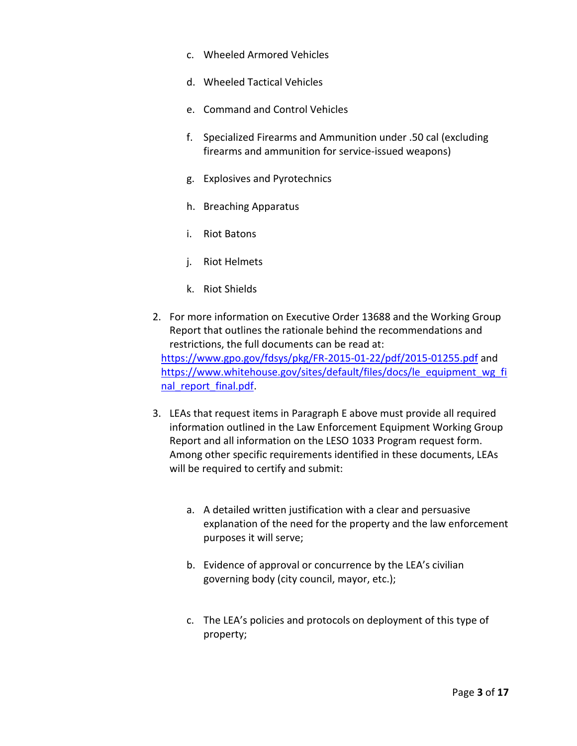- c. Wheeled Armored Vehicles
- d. Wheeled Tactical Vehicles
- e. Command and Control Vehicles
- f. Specialized Firearms and Ammunition under .50 cal (excluding firearms and ammunition for service-issued weapons)
- g. Explosives and Pyrotechnics
- h. Breaching Apparatus
- i. Riot Batons
- j. Riot Helmets
- k. Riot Shields
- 2. For more information on Executive Order 13688 and the Working Group Report that outlines the rationale behind the recommendations and restrictions, the full documents can be read at: <https://www.gpo.gov/fdsys/pkg/FR-2015-01-22/pdf/2015-01255.pdf> and [https://www.whitehouse.gov/sites/default/files/docs/le\\_equipment\\_wg\\_fi](https://www.whitehouse.gov/sites/default/files/docs/le_equipment_wg_final_report_final.pdf) [nal\\_report\\_final.pdf.](https://www.whitehouse.gov/sites/default/files/docs/le_equipment_wg_final_report_final.pdf)
- 3. LEAs that request items in Paragraph E above must provide all required information outlined in the Law Enforcement Equipment Working Group Report and all information on the LESO 1033 Program request form. Among other specific requirements identified in these documents, LEAs will be required to certify and submit:
	- a. A detailed written justification with a clear and persuasive explanation of the need for the property and the law enforcement purposes it will serve;
	- b. Evidence of approval or concurrence by the LEA's civilian governing body (city council, mayor, etc.);
	- c. The LEA's policies and protocols on deployment of this type of property;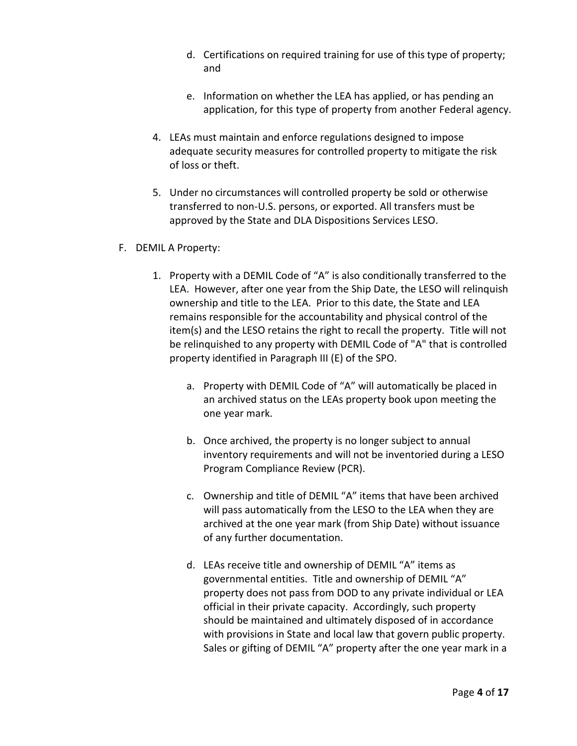- d. Certifications on required training for use of this type of property; and
- e. Information on whether the LEA has applied, or has pending an application, for this type of property from another Federal agency.
- 4. LEAs must maintain and enforce regulations designed to impose adequate security measures for controlled property to mitigate the risk of loss or theft.
- 5. Under no circumstances will controlled property be sold or otherwise transferred to non-U.S. persons, or exported. All transfers must be approved by the State and DLA Dispositions Services LESO.
- F. DEMIL A Property:
	- 1. Property with a DEMIL Code of "A" is also conditionally transferred to the LEA. However, after one year from the Ship Date, the LESO will relinquish ownership and title to the LEA. Prior to this date, the State and LEA remains responsible for the accountability and physical control of the item(s) and the LESO retains the right to recall the property. Title will not be relinquished to any property with DEMIL Code of "A" that is controlled property identified in Paragraph III (E) of the SPO.
		- a. Property with DEMIL Code of "A" will automatically be placed in an archived status on the LEAs property book upon meeting the one year mark.
		- b. Once archived, the property is no longer subject to annual inventory requirements and will not be inventoried during a LESO Program Compliance Review (PCR).
		- c. Ownership and title of DEMIL "A" items that have been archived will pass automatically from the LESO to the LEA when they are archived at the one year mark (from Ship Date) without issuance of any further documentation.
		- d. LEAs receive title and ownership of DEMIL "A" items as governmental entities. Title and ownership of DEMIL "A" property does not pass from DOD to any private individual or LEA official in their private capacity. Accordingly, such property should be maintained and ultimately disposed of in accordance with provisions in State and local law that govern public property. Sales or gifting of DEMIL "A" property after the one year mark in a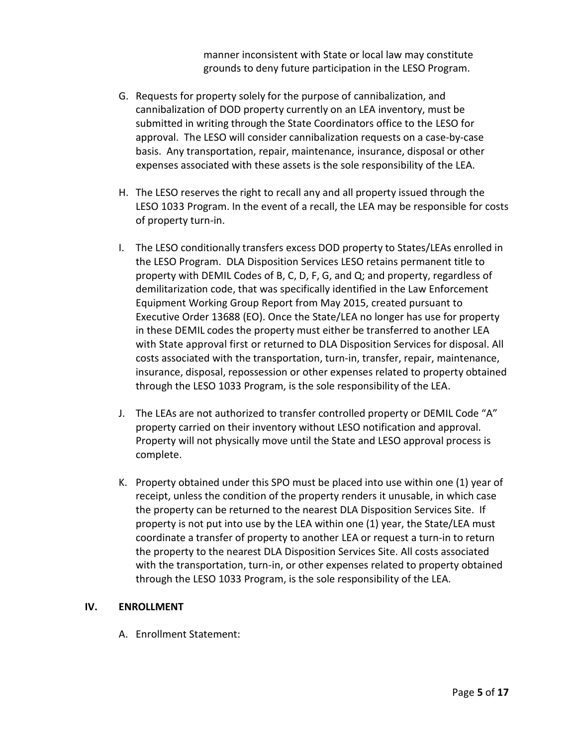manner inconsistent with State or local law may constitute grounds to deny future participation in the LESO Program.

- G. Requests for property solely for the purpose of cannibalization, and cannibalization of DOD property currently on an LEA inventory, must be submitted in writing through the State Coordinators office to the LESO for approval. The LESO will consider cannibalization requests on a case-by-case basis. Any transportation, repair, maintenance, insurance, disposal or other expenses associated with these assets is the sole responsibility of the LEA.
- H. The LESO reserves the right to recall any and all property issued through the LESO 1033 Program. In the event of a recall, the LEA may be responsible for costs of property turn-in.
- I. The LESO conditionally transfers excess DOD property to States/LEAs enrolled in the LESO Program. DLA Disposition Services LESO retains permanent title to property with DEMIL Codes of B, C, D, F, G, and Q; and property, regardless of demilitarization code, that was specifically identified in the Law Enforcement Equipment Working Group Report from May 2015, created pursuant to Executive Order 13688 (EO). Once the State/LEA no longer has use for property in these DEMIL codes the property must either be transferred to another LEA with State approval first or returned to DLA Disposition Services for disposal. All costs associated with the transportation, turn-in, transfer, repair, maintenance, insurance, disposal, repossession or other expenses related to property obtained through the LESO 1033 Program, is the sole responsibility of the LEA.
- J. The LEAs are not authorized to transfer controlled property or DEMIL Code "A" property carried on their inventory without LESO notification and approval. Property will not physically move until the State and LESO approval process is complete.
- K. Property obtained under this SPO must be placed into use within one (1) year of receipt, unless the condition of the property renders it unusable, in which case the property can be returned to the nearest DLA Disposition Services Site. If property is not put into use by the LEA within one (1) year, the State/LEA must coordinate a transfer of property to another LEA or request a turn-in to return the property to the nearest DLA Disposition Services Site. All costs associated with the transportation, turn-in, or other expenses related to property obtained through the LESO 1033 Program, is the sole responsibility of the LEA.

### **IV. ENROLLMENT**

A. Enrollment Statement: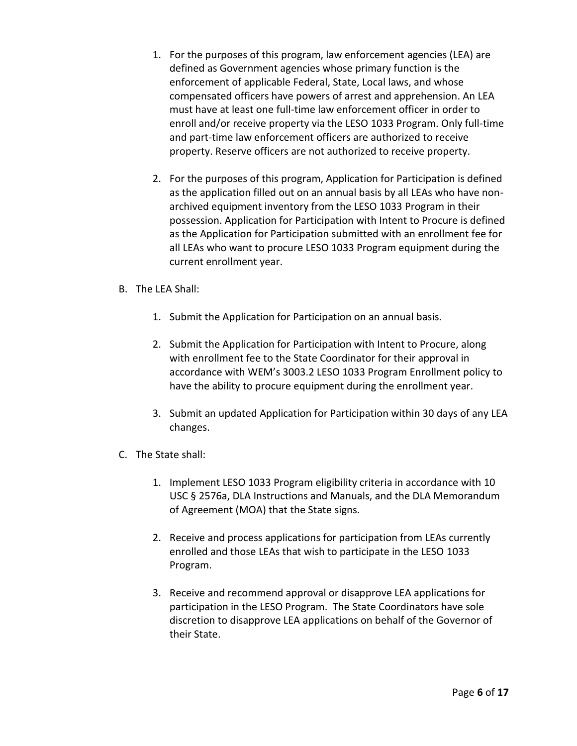- 1. For the purposes of this program, law enforcement agencies (LEA) are defined as Government agencies whose primary function is the enforcement of applicable Federal, State, Local laws, and whose compensated officers have powers of arrest and apprehension. An LEA must have at least one full-time law enforcement officer in order to enroll and/or receive property via the LESO 1033 Program. Only full-time and part-time law enforcement officers are authorized to receive property. Reserve officers are not authorized to receive property.
- 2. For the purposes of this program, Application for Participation is defined as the application filled out on an annual basis by all LEAs who have nonarchived equipment inventory from the LESO 1033 Program in their possession. Application for Participation with Intent to Procure is defined as the Application for Participation submitted with an enrollment fee for all LEAs who want to procure LESO 1033 Program equipment during the current enrollment year.
- B. The LEA Shall:
	- 1. Submit the Application for Participation on an annual basis.
	- 2. Submit the Application for Participation with Intent to Procure, along with enrollment fee to the State Coordinator for their approval in accordance with WEM's 3003.2 LESO 1033 Program Enrollment policy to have the ability to procure equipment during the enrollment year.
	- 3. Submit an updated Application for Participation within 30 days of any LEA changes.
- C. The State shall:
	- 1. Implement LESO 1033 Program eligibility criteria in accordance with 10 USC § 2576a, DLA Instructions and Manuals, and the DLA Memorandum of Agreement (MOA) that the State signs.
	- 2. Receive and process applications for participation from LEAs currently enrolled and those LEAs that wish to participate in the LESO 1033 Program.
	- 3. Receive and recommend approval or disapprove LEA applications for participation in the LESO Program. The State Coordinators have sole discretion to disapprove LEA applications on behalf of the Governor of their State.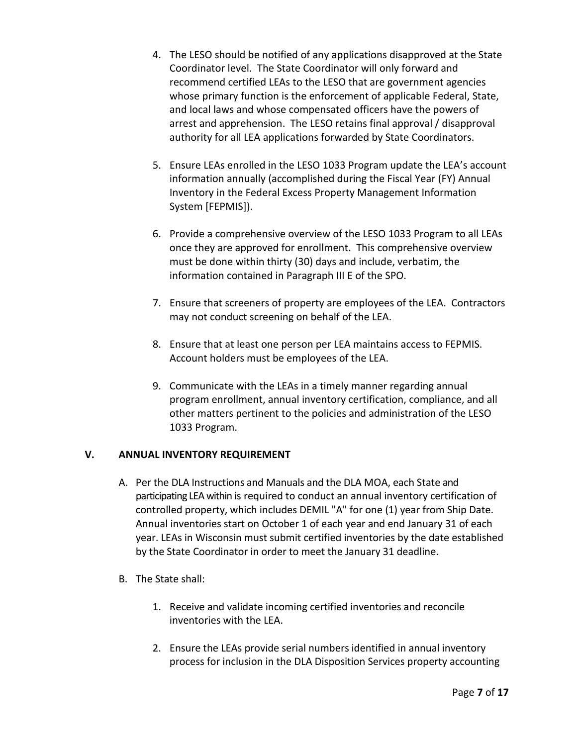- 4. The LESO should be notified of any applications disapproved at the State Coordinator level. The State Coordinator will only forward and recommend certified LEAs to the LESO that are government agencies whose primary function is the enforcement of applicable Federal, State, and local laws and whose compensated officers have the powers of arrest and apprehension. The LESO retains final approval / disapproval authority for all LEA applications forwarded by State Coordinators.
- 5. Ensure LEAs enrolled in the LESO 1033 Program update the LEA's account information annually (accomplished during the Fiscal Year (FY) Annual Inventory in the Federal Excess Property Management Information System [FEPMIS]).
- 6. Provide a comprehensive overview of the LESO 1033 Program to all LEAs once they are approved for enrollment. This comprehensive overview must be done within thirty (30) days and include, verbatim, the information contained in Paragraph III E of the SPO.
- 7. Ensure that screeners of property are employees of the LEA. Contractors may not conduct screening on behalf of the LEA.
- 8. Ensure that at least one person per LEA maintains access to FEPMIS. Account holders must be employees of the LEA.
- 9. Communicate with the LEAs in a timely manner regarding annual program enrollment, annual inventory certification, compliance, and all other matters pertinent to the policies and administration of the LESO 1033 Program.

# **V. ANNUAL INVENTORY REQUIREMENT**

- A. Per the DLA Instructions and Manuals and the DLA MOA, each State and participating LEA within is required to conduct an annual inventory certification of controlled property, which includes DEMIL "A" for one (1) year from Ship Date. Annual inventories start on October 1 of each year and end January 31 of each year. LEAs in Wisconsin must submit certified inventories by the date established by the State Coordinator in order to meet the January 31 deadline.
- B. The State shall:
	- 1. Receive and validate incoming certified inventories and reconcile inventories with the LEA.
	- 2. Ensure the LEAs provide serial numbers identified in annual inventory process for inclusion in the DLA Disposition Services property accounting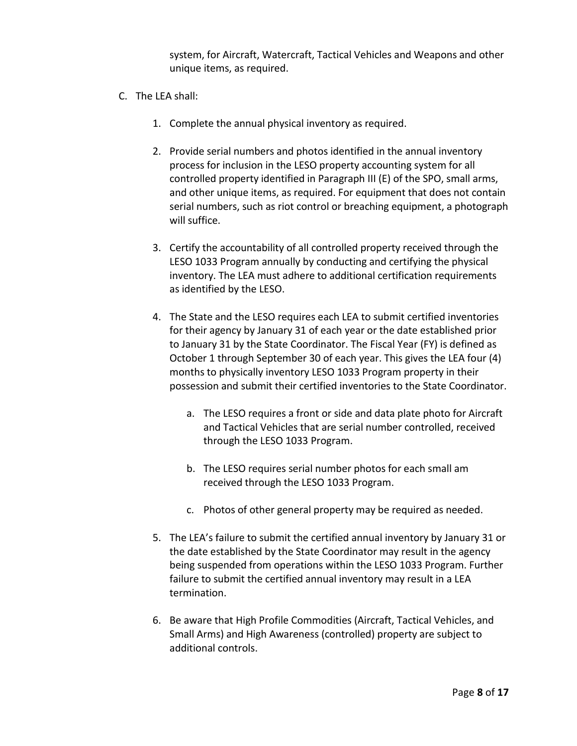system, for Aircraft, Watercraft, Tactical Vehicles and Weapons and other unique items, as required.

- C. The LEA shall:
	- 1. Complete the annual physical inventory as required.
	- 2. Provide serial numbers and photos identified in the annual inventory process for inclusion in the LESO property accounting system for all controlled property identified in Paragraph III (E) of the SPO, small arms, and other unique items, as required. For equipment that does not contain serial numbers, such as riot control or breaching equipment, a photograph will suffice.
	- 3. Certify the accountability of all controlled property received through the LESO 1033 Program annually by conducting and certifying the physical inventory. The LEA must adhere to additional certification requirements as identified by the LESO.
	- 4. The State and the LESO requires each LEA to submit certified inventories for their agency by January 31 of each year or the date established prior to January 31 by the State Coordinator. The Fiscal Year (FY) is defined as October 1 through September 30 of each year. This gives the LEA four (4) months to physically inventory LESO 1033 Program property in their possession and submit their certified inventories to the State Coordinator.
		- a. The LESO requires a front or side and data plate photo for Aircraft and Tactical Vehicles that are serial number controlled, received through the LESO 1033 Program.
		- b. The LESO requires serial number photos for each small am received through the LESO 1033 Program.
		- c. Photos of other general property may be required as needed.
	- 5. The LEA's failure to submit the certified annual inventory by January 31 or the date established by the State Coordinator may result in the agency being suspended from operations within the LESO 1033 Program. Further failure to submit the certified annual inventory may result in a LEA termination.
	- 6. Be aware that High Profile Commodities (Aircraft, Tactical Vehicles, and Small Arms) and High Awareness (controlled) property are subject to additional controls.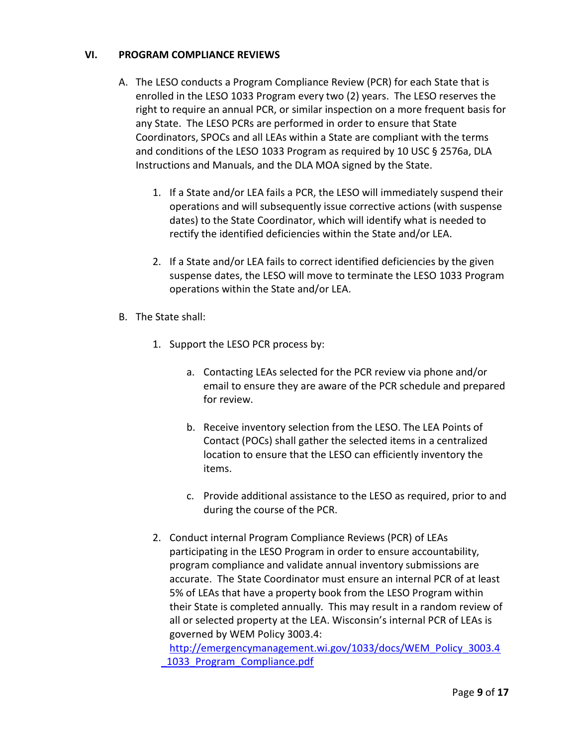## **VI. PROGRAM COMPLIANCE REVIEWS**

- A. The LESO conducts a Program Compliance Review (PCR) for each State that is enrolled in the LESO 1033 Program every two (2) years. The LESO reserves the right to require an annual PCR, or similar inspection on a more frequent basis for any State. The LESO PCRs are performed in order to ensure that State Coordinators, SPOCs and all LEAs within a State are compliant with the terms and conditions of the LESO 1033 Program as required by 10 USC § 2576a, DLA Instructions and Manuals, and the DLA MOA signed by the State.
	- 1. If a State and/or LEA fails a PCR, the LESO will immediately suspend their operations and will subsequently issue corrective actions (with suspense dates) to the State Coordinator, which will identify what is needed to rectify the identified deficiencies within the State and/or LEA.
	- 2. If a State and/or LEA fails to correct identified deficiencies by the given suspense dates, the LESO will move to terminate the LESO 1033 Program operations within the State and/or LEA.
- B. The State shall:
	- 1. Support the LESO PCR process by:
		- a. Contacting LEAs selected for the PCR review via phone and/or email to ensure they are aware of the PCR schedule and prepared for review.
		- b. Receive inventory selection from the LESO. The LEA Points of Contact (POCs) shall gather the selected items in a centralized location to ensure that the LESO can efficiently inventory the items.
		- c. Provide additional assistance to the LESO as required, prior to and during the course of the PCR.
	- 2. Conduct internal Program Compliance Reviews (PCR) of LEAs participating in the LESO Program in order to ensure accountability, program compliance and validate annual inventory submissions are accurate. The State Coordinator must ensure an internal PCR of at least 5% of LEAs that have a property book from the LESO Program within their State is completed annually. This may result in a random review of all or selected property at the LEA. Wisconsin's internal PCR of LEAs is governed by WEM Policy 3003.4:

[http://emergencymanagement.wi.gov/1033/docs/WEM\\_Policy\\_3003.4](http://emergencymanagement.wi.gov/1033/docs/WEM_Policy_3003.4_1033_Program_Compliance.pdf) [\\_1033\\_Program\\_Compliance.pdf](http://emergencymanagement.wi.gov/1033/docs/WEM_Policy_3003.4_1033_Program_Compliance.pdf)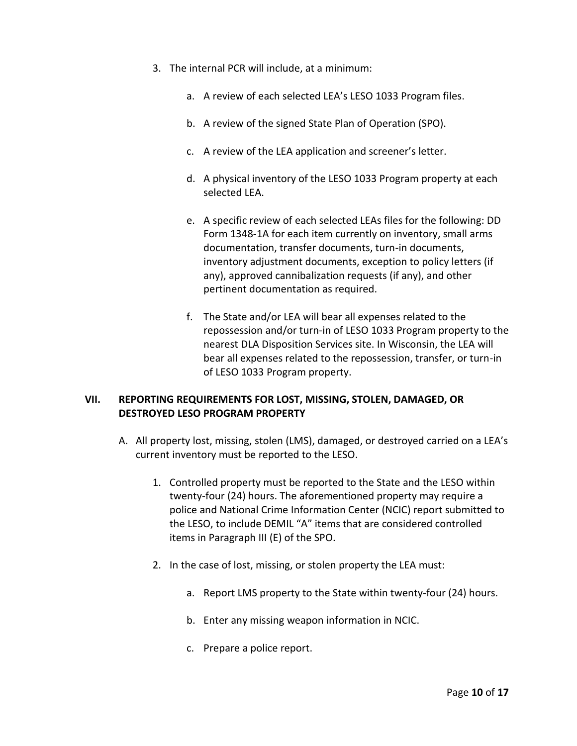- 3. The internal PCR will include, at a minimum:
	- a. A review of each selected LEA's LESO 1033 Program files.
	- b. A review of the signed State Plan of Operation (SPO).
	- c. A review of the LEA application and screener's letter.
	- d. A physical inventory of the LESO 1033 Program property at each selected LEA.
	- e. A specific review of each selected LEAs files for the following: DD Form 1348-1A for each item currently on inventory, small arms documentation, transfer documents, turn-in documents, inventory adjustment documents, exception to policy letters (if any), approved cannibalization requests (if any), and other pertinent documentation as required.
	- f. The State and/or LEA will bear all expenses related to the repossession and/or turn-in of LESO 1033 Program property to the nearest DLA Disposition Services site. In Wisconsin, the LEA will bear all expenses related to the repossession, transfer, or turn-in of LESO 1033 Program property.

### **VII. REPORTING REQUIREMENTS FOR LOST, MISSING, STOLEN, DAMAGED, OR DESTROYED LESO PROGRAM PROPERTY**

- A. All property lost, missing, stolen (LMS), damaged, or destroyed carried on a LEA's current inventory must be reported to the LESO.
	- 1. Controlled property must be reported to the State and the LESO within twenty-four (24) hours. The aforementioned property may require a police and National Crime Information Center (NCIC) report submitted to the LESO, to include DEMIL "A" items that are considered controlled items in Paragraph III (E) of the SPO.
	- 2. In the case of lost, missing, or stolen property the LEA must:
		- a. Report LMS property to the State within twenty-four (24) hours.
		- b. Enter any missing weapon information in NCIC.
		- c. Prepare a police report.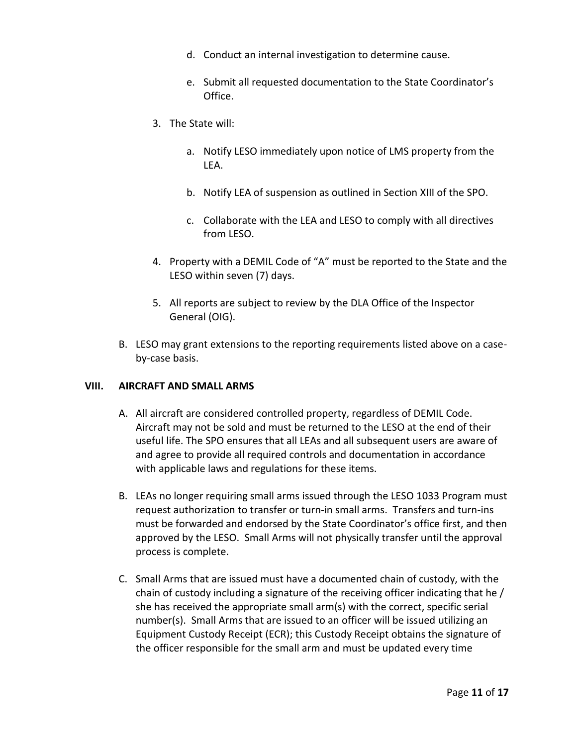- d. Conduct an internal investigation to determine cause.
- e. Submit all requested documentation to the State Coordinator's Office.
- 3. The State will:
	- a. Notify LESO immediately upon notice of LMS property from the LEA.
	- b. Notify LEA of suspension as outlined in Section XIII of the SPO.
	- c. Collaborate with the LEA and LESO to comply with all directives from LESO.
- 4. Property with a DEMIL Code of "A" must be reported to the State and the LESO within seven (7) days.
- 5. All reports are subject to review by the DLA Office of the Inspector General (OIG).
- B. LESO may grant extensions to the reporting requirements listed above on a caseby-case basis.

### **VIII. AIRCRAFT AND SMALL ARMS**

- A. All aircraft are considered controlled property, regardless of DEMIL Code. Aircraft may not be sold and must be returned to the LESO at the end of their useful life. The SPO ensures that all LEAs and all subsequent users are aware of and agree to provide all required controls and documentation in accordance with applicable laws and regulations for these items.
- B. LEAs no longer requiring small arms issued through the LESO 1033 Program must request authorization to transfer or turn-in small arms. Transfers and turn-ins must be forwarded and endorsed by the State Coordinator's office first, and then approved by the LESO. Small Arms will not physically transfer until the approval process is complete.
- C. Small Arms that are issued must have a documented chain of custody, with the chain of custody including a signature of the receiving officer indicating that he / she has received the appropriate small arm(s) with the correct, specific serial number(s). Small Arms that are issued to an officer will be issued utilizing an Equipment Custody Receipt (ECR); this Custody Receipt obtains the signature of the officer responsible for the small arm and must be updated every time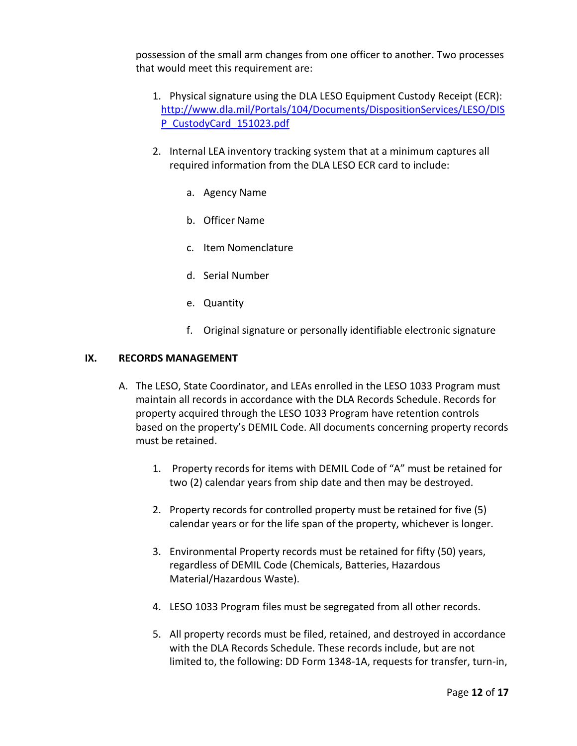possession of the small arm changes from one officer to another. Two processes that would meet this requirement are:

- 1. Physical signature using the DLA LESO Equipment Custody Receipt (ECR): [http://www.dla.mil/Portals/104/Documents/DispositionServices/LESO/DIS](http://www.dla.mil/Portals/104/Documents/DispositionServices/LESO/DISP_CustodyCard_151023.pdf) [P\\_CustodyCard\\_151023.pdf](http://www.dla.mil/Portals/104/Documents/DispositionServices/LESO/DISP_CustodyCard_151023.pdf)
- 2. Internal LEA inventory tracking system that at a minimum captures all required information from the DLA LESO ECR card to include:
	- a. Agency Name
	- b. Officer Name
	- c. Item Nomenclature
	- d. Serial Number
	- e. Quantity
	- f. Original signature or personally identifiable electronic signature

### **IX. RECORDS MANAGEMENT**

- A. The LESO, State Coordinator, and LEAs enrolled in the LESO 1033 Program must maintain all records in accordance with the DLA Records Schedule. Records for property acquired through the LESO 1033 Program have retention controls based on the property's DEMIL Code. All documents concerning property records must be retained.
	- 1. Property records for items with DEMIL Code of "A" must be retained for two (2) calendar years from ship date and then may be destroyed.
	- 2. Property records for controlled property must be retained for five (5) calendar years or for the life span of the property, whichever is longer.
	- 3. Environmental Property records must be retained for fifty (50) years, regardless of DEMIL Code (Chemicals, Batteries, Hazardous Material/Hazardous Waste).
	- 4. LESO 1033 Program files must be segregated from all other records.
	- 5. All property records must be filed, retained, and destroyed in accordance with the DLA Records Schedule. These records include, but are not limited to, the following: DD Form 1348-1A, requests for transfer, turn-in,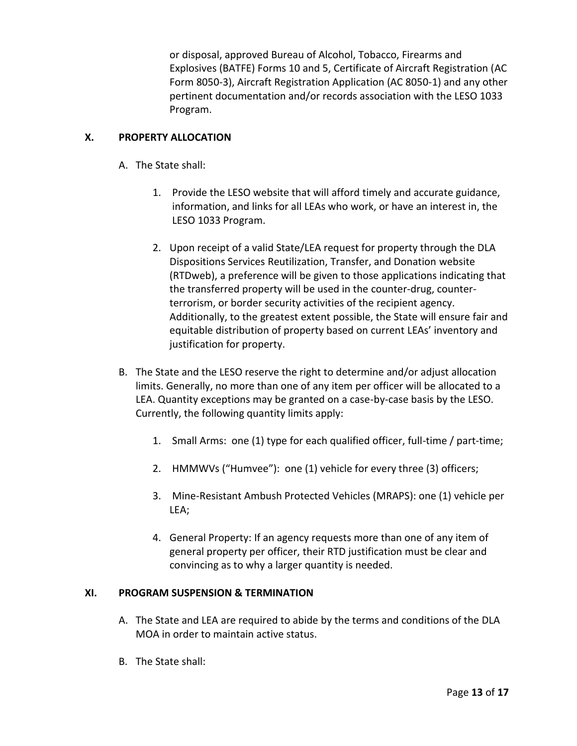or disposal, approved Bureau of Alcohol, Tobacco, Firearms and Explosives (BATFE) Forms 10 and 5, Certificate of Aircraft Registration (AC Form 8050-3), Aircraft Registration Application (AC 8050-1) and any other pertinent documentation and/or records association with the LESO 1033 Program.

# **X. PROPERTY ALLOCATION**

- A. The State shall:
	- 1. Provide the LESO website that will afford timely and accurate guidance, information, and links for all LEAs who work, or have an interest in, the LESO 1033 Program.
	- 2. Upon receipt of a valid State/LEA request for property through the DLA Dispositions Services Reutilization, Transfer, and Donation website (RTDweb), a preference will be given to those applications indicating that the transferred property will be used in the counter-drug, counterterrorism, or border security activities of the recipient agency. Additionally, to the greatest extent possible, the State will ensure fair and equitable distribution of property based on current LEAs' inventory and justification for property.
- B. The State and the LESO reserve the right to determine and/or adjust allocation limits. Generally, no more than one of any item per officer will be allocated to a LEA. Quantity exceptions may be granted on a case-by-case basis by the LESO. Currently, the following quantity limits apply:
	- 1. Small Arms: one (1) type for each qualified officer, full-time / part-time;
	- 2. HMMWVs ("Humvee"): one (1) vehicle for every three (3) officers;
	- 3. Mine-Resistant Ambush Protected Vehicles (MRAPS): one (1) vehicle per LEA;
	- 4. General Property: If an agency requests more than one of any item of general property per officer, their RTD justification must be clear and convincing as to why a larger quantity is needed.

# **XI. PROGRAM SUSPENSION & TERMINATION**

- A. The State and LEA are required to abide by the terms and conditions of the DLA MOA in order to maintain active status.
- B. The State shall: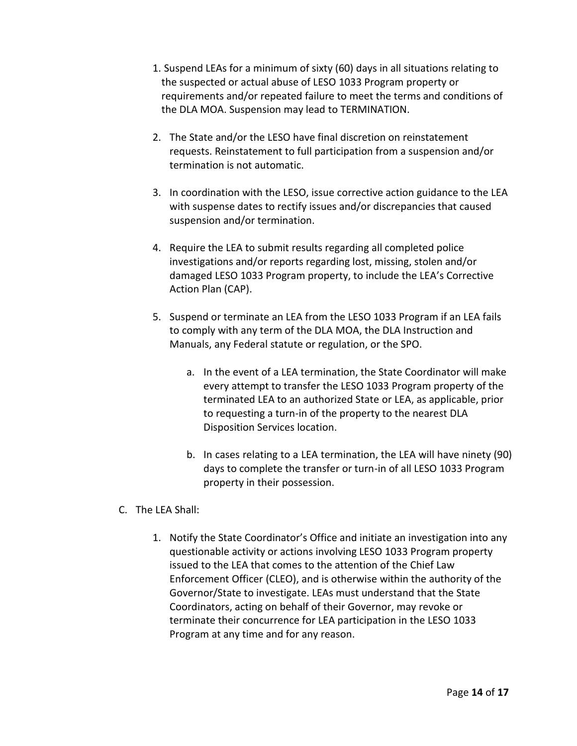- 1. Suspend LEAs for a minimum of sixty (60) days in all situations relating to the suspected or actual abuse of LESO 1033 Program property or requirements and/or repeated failure to meet the terms and conditions of the DLA MOA. Suspension may lead to TERMINATION.
- 2. The State and/or the LESO have final discretion on reinstatement requests. Reinstatement to full participation from a suspension and/or termination is not automatic.
- 3. In coordination with the LESO, issue corrective action guidance to the LEA with suspense dates to rectify issues and/or discrepancies that caused suspension and/or termination.
- 4. Require the LEA to submit results regarding all completed police investigations and/or reports regarding lost, missing, stolen and/or damaged LESO 1033 Program property, to include the LEA's Corrective Action Plan (CAP).
- 5. Suspend or terminate an LEA from the LESO 1033 Program if an LEA fails to comply with any term of the DLA MOA, the DLA Instruction and Manuals, any Federal statute or regulation, or the SPO.
	- a. In the event of a LEA termination, the State Coordinator will make every attempt to transfer the LESO 1033 Program property of the terminated LEA to an authorized State or LEA, as applicable, prior to requesting a turn-in of the property to the nearest DLA Disposition Services location.
	- b. In cases relating to a LEA termination, the LEA will have ninety (90) days to complete the transfer or turn-in of all LESO 1033 Program property in their possession.
- C. The LEA Shall:
	- 1. Notify the State Coordinator's Office and initiate an investigation into any questionable activity or actions involving LESO 1033 Program property issued to the LEA that comes to the attention of the Chief Law Enforcement Officer (CLEO), and is otherwise within the authority of the Governor/State to investigate. LEAs must understand that the State Coordinators, acting on behalf of their Governor, may revoke or terminate their concurrence for LEA participation in the LESO 1033 Program at any time and for any reason.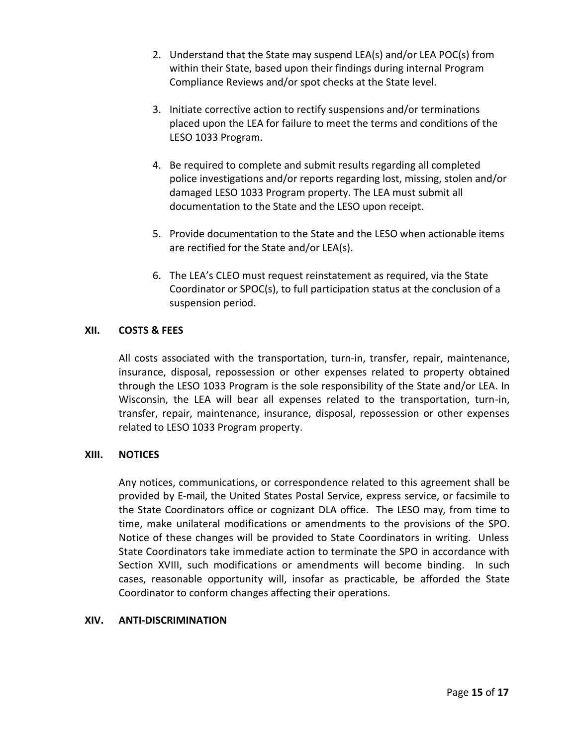- 2. Understand that the State may suspend LEA(s) and/or LEA POC(s) from within their State, based upon their findings during internal Program Compliance Reviews and/or spot checks at the State level.
- 3. Initiate corrective action to rectify suspensions and/or terminations placed upon the LEA for failure to meet the terms and conditions of the LESO 1033 Program.
- 4. Be required to complete and submit results regarding all completed police investigations and/or reports regarding lost, missing, stolen and/or damaged LESO 1033 Program property. The LEA must submit all documentation to the State and the LESO upon receipt.
- 5. Provide documentation to the State and the LESO when actionable items are rectified for the State and/or LEA(s).
- 6. The LEA's CLEO must request reinstatement as required, via the State Coordinator or SPOC(s), to full participation status at the conclusion of a suspension period.

## **XII. COSTS & FEES**

All costs associated with the transportation, turn-in, transfer, repair, maintenance, insurance, disposal, repossession or other expenses related to property obtained through the LESO 1033 Program is the sole responsibility of the State and/or LEA. In Wisconsin, the LEA will bear all expenses related to the transportation, turn-in, transfer, repair, maintenance, insurance, disposal, repossession or other expenses related to LESO 1033 Program property.

### **XIII. NOTICES**

Any notices, communications, or correspondence related to this agreement shall be provided by E-mail, the United States Postal Service, express service, or facsimile to the State Coordinators office or cognizant DLA office. The LESO may, from time to time, make unilateral modifications or amendments to the provisions of the SPO. Notice of these changes will be provided to State Coordinators in writing. Unless State Coordinators take immediate action to terminate the SPO in accordance with Section XVIII, such modifications or amendments will become binding. In such cases, reasonable opportunity will, insofar as practicable, be afforded the State Coordinator to conform changes affecting their operations.

#### **XIV. ANTI-DISCRIMINATION**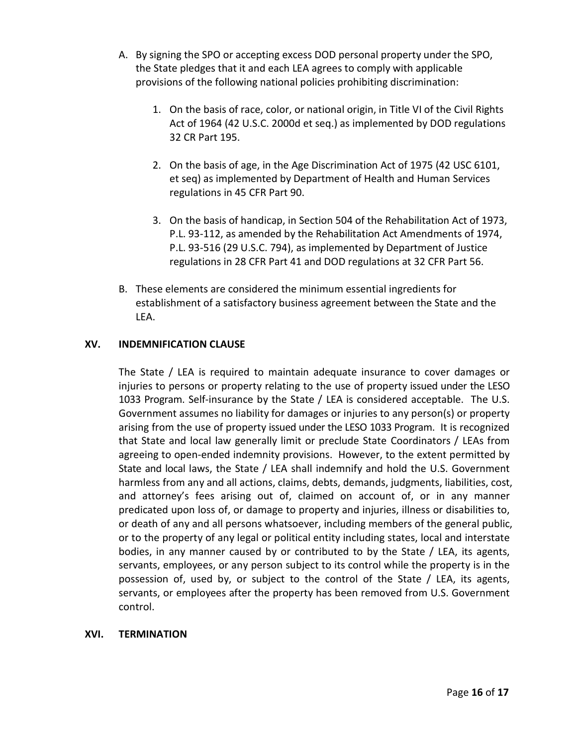- A. By signing the SPO or accepting excess DOD personal property under the SPO, the State pledges that it and each LEA agrees to comply with applicable provisions of the following national policies prohibiting discrimination:
	- 1. On the basis of race, color, or national origin, in Title VI of the Civil Rights Act of 1964 (42 U.S.C. 2000d et seq.) as implemented by DOD regulations 32 CR Part 195.
	- 2. On the basis of age, in the Age Discrimination Act of 1975 (42 USC 6101, et seq) as implemented by Department of Health and Human Services regulations in 45 CFR Part 90.
	- 3. On the basis of handicap, in Section 504 of the Rehabilitation Act of 1973, P.L. 93-112, as amended by the Rehabilitation Act Amendments of 1974, P.L. 93-516 (29 U.S.C. 794), as implemented by Department of Justice regulations in 28 CFR Part 41 and DOD regulations at 32 CFR Part 56.
- B. These elements are considered the minimum essential ingredients for establishment of a satisfactory business agreement between the State and the LEA.

# **XV. INDEMNIFICATION CLAUSE**

The State / LEA is required to maintain adequate insurance to cover damages or injuries to persons or property relating to the use of property issued under the LESO 1033 Program. Self-insurance by the State / LEA is considered acceptable. The U.S. Government assumes no liability for damages or injuries to any person(s) or property arising from the use of property issued under the LESO 1033 Program. It is recognized that State and local law generally limit or preclude State Coordinators / LEAs from agreeing to open-ended indemnity provisions. However, to the extent permitted by State and local laws, the State / LEA shall indemnify and hold the U.S. Government harmless from any and all actions, claims, debts, demands, judgments, liabilities, cost, and attorney's fees arising out of, claimed on account of, or in any manner predicated upon loss of, or damage to property and injuries, illness or disabilities to, or death of any and all persons whatsoever, including members of the general public, or to the property of any legal or political entity including states, local and interstate bodies, in any manner caused by or contributed to by the State / LEA, its agents, servants, employees, or any person subject to its control while the property is in the possession of, used by, or subject to the control of the State / LEA, its agents, servants, or employees after the property has been removed from U.S. Government control.

# **XVI. TERMINATION**